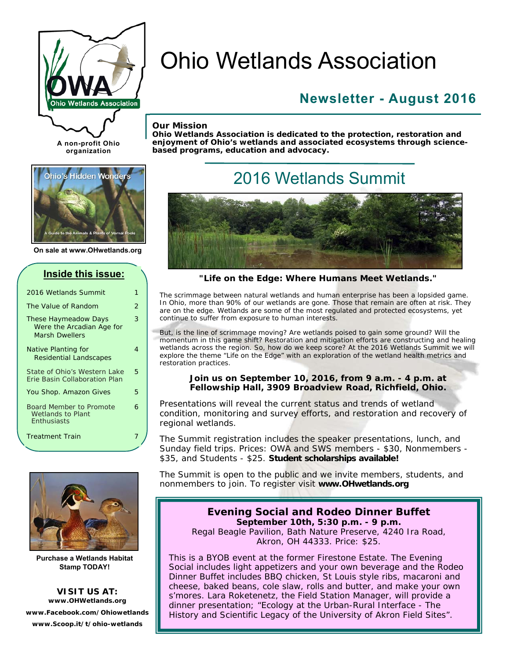

# Ohio Wetlands Association

### **Newsletter - August 2016**

#### *Our Mission*

*Ohio Wetlands Association is dedicated to the protection, restoration and enjoyment of Ohio's wetlands and associated ecosystems through sciencebased programs, education and advocacy.* 



**A non-profit Ohio organization** 

**On sale at www.OHwetlands.org** 

| Inside this issue:                                                                |   |
|-----------------------------------------------------------------------------------|---|
| 2016 Wetlands Summit                                                              | 1 |
| The Value of Random                                                               | 2 |
| <b>These Haymeadow Days</b><br>Were the Arcadian Age for<br><b>Marsh Dwellers</b> | 3 |
| <b>Native Planting for</b><br><b>Residential Landscapes</b>                       | 4 |
| State of Ohio's Western Lake<br>Erie Basin Collaboration Plan                     | 5 |
| You Shop. Amazon Gives                                                            | 5 |
| <b>Board Member to Promote</b><br><b>Wetlands to Plant</b><br><b>Enthusiasts</b>  | 6 |
| <b>Treatment Train</b>                                                            |   |



**Purchase a Wetlands Habitat Stamp TODAY!** 

**VISIT US AT: www.OHWetlands.org www.Facebook.com/Ohiowetlands www.Scoop.it/t/ohio-wetlands** 

## 2016 Wetlands Summit



#### *"Life on the Edge: Where Humans Meet Wetlands."*

The scrimmage between natural wetlands and human enterprise has been a lopsided game. In Ohio, more than 90% of our wetlands are gone. Those that remain are often at risk. They are on the edge. Wetlands are some of the most regulated and protected ecosystems, yet continue to suffer from exposure to human interests.

But, is the line of scrimmage moving? Are wetlands poised to gain some ground? Will the momentum in this game shift? Restoration and mitigation efforts are constructing and healing wetlands across the region. So, how do we keep score? At the 2016 Wetlands Summit we will explore the theme "Life on the Edge" with an exploration of the wetland health metrics and restoration practices.

#### **Join us on September 10, 2016, from 9 a.m. - 4 p.m. at Fellowship Hall, 3909 Broadview Road, Richfield, Ohio.**

Presentations will reveal the current status and trends of wetland condition, monitoring and survey efforts, and restoration and recovery of regional wetlands.

The Summit registration includes the speaker presentations, lunch, and Sunday field trips. Prices: OWA and SWS members - \$30, Nonmembers - \$35, and Students - \$25. *Student scholarships available!* 

The Summit is open to the public and we invite members, students, and nonmembers to join. To register visit **www.OHwetlands.org** 

#### **Evening Social and Rodeo Dinner Buffet September 10th, 5:30 p.m. - 9 p.m.**

Regal Beagle Pavilion, Bath Nature Preserve, 4240 Ira Road, Akron, OH 44333. Price: \$25.

This is a BYOB event at the former Firestone Estate. The Evening Social includes light appetizers and your own beverage and the Rodeo Dinner Buffet includes BBQ chicken, St Louis style ribs, macaroni and cheese, baked beans, cole slaw, rolls and butter, and make your own s'mores. Lara Roketenetz, the Field Station Manager, will provide a dinner presentation; *"Ecology at the Urban-Rural Interface - The History and Scientific Legacy of the University of Akron Field Sites".*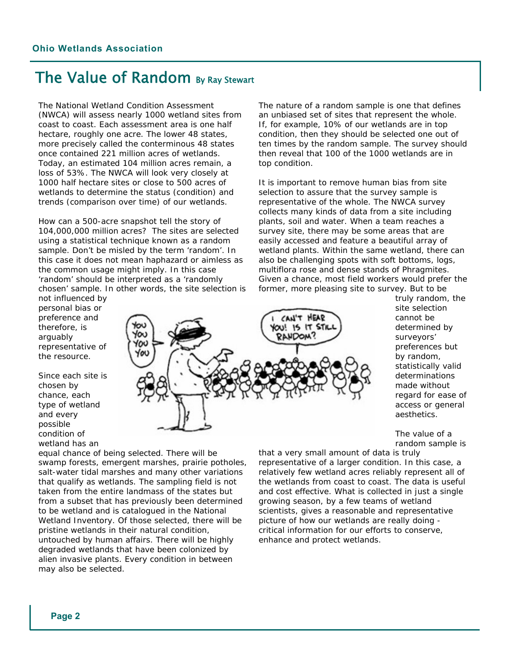### The Value of Random By Ray Stewart

The National Wetland Condition Assessment (NWCA) will assess nearly 1000 wetland sites from coast to coast. Each assessment area is one half hectare, roughly one acre. The lower 48 states, more precisely called the conterminous 48 states once contained 221 million acres of wetlands. Today, an estimated 104 million acres remain, a loss of 53%. The NWCA will look very closely at 1000 half hectare sites or close to 500 acres of wetlands to determine the status (condition) and trends (comparison over time) of our wetlands.

How can a 500-acre snapshot tell the story of 104,000,000 million acres? The sites are selected using a statistical technique known as a random sample. Don't be misled by the term 'random'. In this case it does not mean haphazard or aimless as the common usage might imply. In this case 'random' should be interpreted as a 'randomly chosen' sample. In other words, the site selection is

not influenced by personal bias or preference and therefore, is arguably representative of the resource.

Since each site is chosen by chance, each type of wetland and every possible condition of wetland has an

CAN'T HEAR YOU! IS IT STIL Υα **RANDOM?** ΥОυ Уου

The nature of a random sample is one that defines an unbiased set of sites that represent the whole. If, for example, 10% of our wetlands are in top condition, then they should be selected one out of ten times by the random sample. The survey should then reveal that 100 of the 1000 wetlands are in top condition.

It is important to remove human bias from site selection to assure that the survey sample is representative of the whole. The NWCA survey collects many kinds of data from a site including plants, soil and water. When a team reaches a survey site, there may be some areas that are easily accessed and feature a beautiful array of wetland plants. Within the same wetland, there can also be challenging spots with soft bottoms, logs, multiflora rose and dense stands of *Phragmites*. Given a chance, most field workers would prefer the former, more pleasing site to survey. But to be

> truly random, the site selection cannot be determined by surveyors' preferences but by random, statistically valid determinations made without regard for ease of access or general aesthetics.

The value of a random sample is

equal chance of being selected. There will be swamp forests, emergent marshes, prairie potholes, salt-water tidal marshes and many other variations that qualify as wetlands. The sampling field is not taken from the entire landmass of the states but from a subset that has previously been determined to be wetland and is catalogued in the National Wetland Inventory. Of those selected, there will be pristine wetlands in their natural condition, untouched by human affairs. There will be highly degraded wetlands that have been colonized by alien invasive plants. Every condition in between may also be selected.

that a very small amount of data is truly representative of a larger condition. In this case, a relatively few wetland acres reliably represent all of the wetlands from coast to coast. The data is useful and cost effective. What is collected in just a single growing season, by a few teams of wetland scientists, gives a reasonable and representative picture of how our wetlands are really doing critical information for our efforts to conserve, enhance and protect wetlands.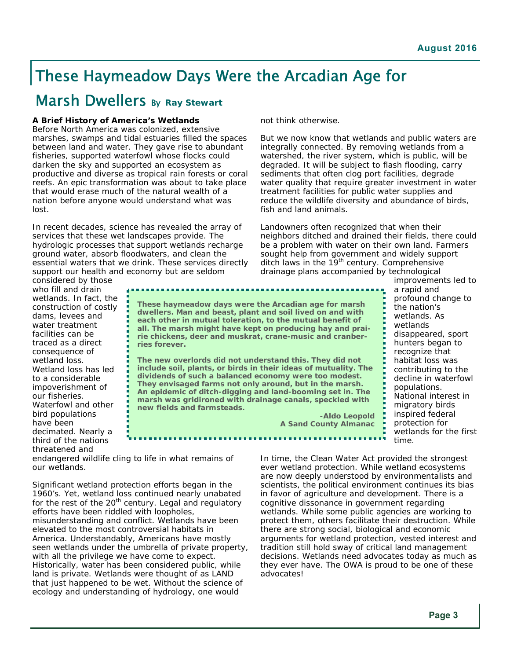### These Haymeadow Days Were the Arcadian Age for

### **Marsh Dwellers By Ray Stewart**

#### **A Brief History of America's Wetlands**

Before North America was colonized, extensive marshes, swamps and tidal estuaries filled the spaces between land and water. They gave rise to abundant fisheries, supported waterfowl whose flocks could darken the sky and supported an ecosystem as productive and diverse as tropical rain forests or coral reefs. An epic transformation was about to take place that would erase much of the natural wealth of a nation before anyone would understand what was lost.

In recent decades, science has revealed the array of services that these wet landscapes provide. The hydrologic processes that support wetlands recharge ground water, absorb floodwaters, and clean the essential waters that we drink. These services directly support our health and economy but are seldom

not think otherwise.

But we now know that wetlands and public waters are integrally connected. By removing wetlands from a watershed, the river system, which is public, will be degraded. It will be subject to flash flooding, carry sediments that often clog port facilities, degrade water quality that require greater investment in water treatment facilities for public water supplies and reduce the wildlife diversity and abundance of birds, fish and land animals.

Landowners often recognized that when their neighbors ditched and drained their fields, there could be a problem with water on their own land. Farmers sought help from government and widely support ditch laws in the 19<sup>th</sup> century. Comprehensive drainage plans accompanied by technological

considered by those who fill and drain wetlands. In fact, the construction of costly dams, levees and water treatment facilities can be traced as a direct consequence of wetland loss. Wetland loss has led to a considerable impoverishment of our fisheries. Waterfowl and other bird populations have been decimated. Nearly a third of the nations threatened and

*These haymeadow days were the Arcadian age for marsh dwellers. Man and beast, plant and soil lived on and with each other in mutual toleration, to the mutual benefit of all. The marsh might have kept on producing hay and prairie chickens, deer and muskrat, crane-music and cranberries forever.* 

*The new overlords did not understand this. They did not include soil, plants, or birds in their ideas of mutuality. The dividends of such a balanced economy were too modest. They envisaged farms not only around, but in the marsh. An epidemic of ditch-digging and land-booming set in. The marsh was gridironed with drainage canals, speckled with new fields and farmsteads.* 

*-Aldo Leopold A Sand County Almanac*  improvements led to a rapid and profound change to the nation's wetlands. As wetlands disappeared, sport hunters began to recognize that habitat loss was contributing to the decline in waterfowl populations. National interest in migratory birds inspired federal protection for wetlands for the first time.

endangered wildlife cling to life in what remains of our wetlands.

Significant wetland protection efforts began in the 1960's. Yet, wetland loss continued nearly unabated for the rest of the  $20<sup>th</sup>$  century. Legal and regulatory efforts have been riddled with loopholes, misunderstanding and conflict. Wetlands have been elevated to the most controversial habitats in America. Understandably, Americans have mostly seen wetlands under the umbrella of private property, with all the privilege we have come to expect. Historically, water has been considered public, while land is private. Wetlands were thought of as LAND that just happened to be wet. Without the science of ecology and understanding of hydrology, one would

In time, the Clean Water Act provided the strongest ever wetland protection. While wetland ecosystems are now deeply understood by environmentalists and scientists, the political environment continues its bias in favor of agriculture and development. There is a cognitive dissonance in government regarding wetlands. While some public agencies are working to protect them, others facilitate their destruction. While there are strong social, biological and economic arguments for wetland protection, vested interest and tradition still hold sway of critical land management decisions. Wetlands need advocates today as much as they ever have. The OWA is proud to be one of these advocates!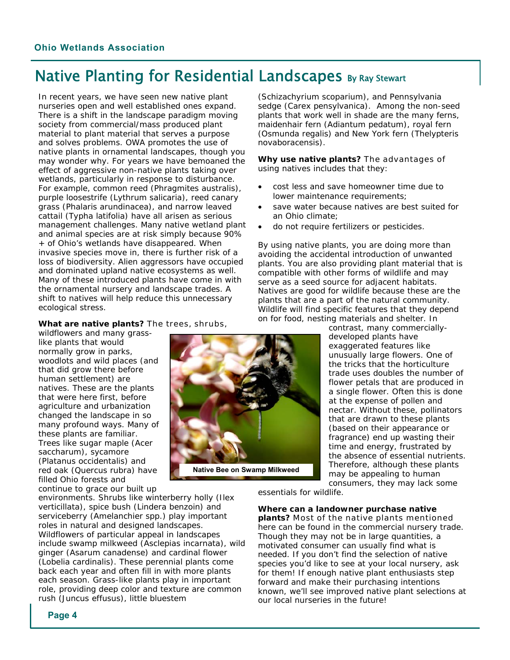### Native Planting for Residential Landscapes By Ray Stewart

In recent years, we have seen new native plant nurseries open and well established ones expand. There is a shift in the landscape paradigm moving society from commercial/mass produced plant material to plant material that serves a purpose and solves problems. OWA promotes the use of native plants in ornamental landscapes, though you may wonder why. For years we have bemoaned the effect of aggressive non-native plants taking over wetlands, particularly in response to disturbance. For example, common reed (*Phragmites australis*), purple loosestrife (*Lythrum salicaria*), reed canary grass (*Phalaris arundinacea*), and narrow leaved cattail (*Typha latifolia*) have all arisen as serious management challenges. Many native wetland plant and animal species are at risk simply because 90% + of Ohio's wetlands have disappeared. When invasive species move in, there is further risk of a loss of biodiversity. Alien aggressors have occupied and dominated upland native ecosystems as well. Many of these introduced plants have come in with the ornamental nursery and landscape trades. A shift to natives will help reduce this unnecessary ecological stress.

#### **What are native plants?** The trees, shrubs,

wildflowers and many grasslike plants that would normally grow in parks, woodlots and wild places (and that did grow there before human settlement) are natives. These are the plants that were here first, before agriculture and urbanization changed the landscape in so many profound ways. Many of these plants are familiar. Trees like sugar maple (*Acer saccharum*), sycamore (*Platanus occidentalis*) and red oak (*Quercus rubra*) have filled Ohio forests and continue to grace our built up

environments. Shrubs like winterberry holly (*Ilex verticillata*), spice bush (*Lindera benzoin*) and serviceberry (*Amelanchier spp.)* play important roles in natural and designed landscapes. Wildflowers of particular appeal in landscapes include swamp milkweed (*Asclepias incarnata*), wild ginger (*Asarum canadense*) and cardinal flower (*Lobelia cardinalis*). These perennial plants come back each year and often fill in with more plants each season. Grass-like plants play in important role, providing deep color and texture are common rush (*Juncus effusus*), little bluestem

**Native Bee on Swamp Milkweed** 

(*Schizachyrium scoparium*), and Pennsylvania sedge (*Carex pensylvanica*). Among the non-seed plants that work well in shade are the many ferns, maidenhair fern (*Adiantum pedatum*), royal fern (*Osmunda regalis*) and New York fern (*Thelypteris novaboracensis*).

**Why use native plants?** The advantages of using natives includes that they:

- cost less and save homeowner time due to lower maintenance requirements;
- save water because natives are best suited for an Ohio climate;
- do not require fertilizers or pesticides.

By using native plants, you are doing more than avoiding the accidental introduction of unwanted plants. You are also providing plant material that is compatible with other forms of wildlife and may serve as a seed source for adjacent habitats. Natives are good for wildlife because these are the plants that are a part of the natural community. Wildlife will find specific features that they depend on for food, nesting materials and shelter. In

contrast, many commerciallydeveloped plants have exaggerated features like unusually large flowers. One of the tricks that the horticulture trade uses doubles the number of flower petals that are produced in a single flower. Often this is done at the expense of pollen and nectar. Without these, pollinators that are drawn to these plants (based on their appearance or fragrance) end up wasting their time and energy, frustrated by the absence of essential nutrients. Therefore, although these plants may be appealing to human consumers, they may lack some

essentials for wildlife.

#### **Where can a landowner purchase native**

**plants?** Most of the native plants mentioned here can be found in the commercial nursery trade. Though they may not be in large quantities, a motivated consumer can usually find what is needed. If you don't find the selection of native species you'd like to see at your local nursery, ask for them! If enough native plant enthusiasts step forward and make their purchasing intentions known, we'll see improved native plant selections at our local nurseries in the future!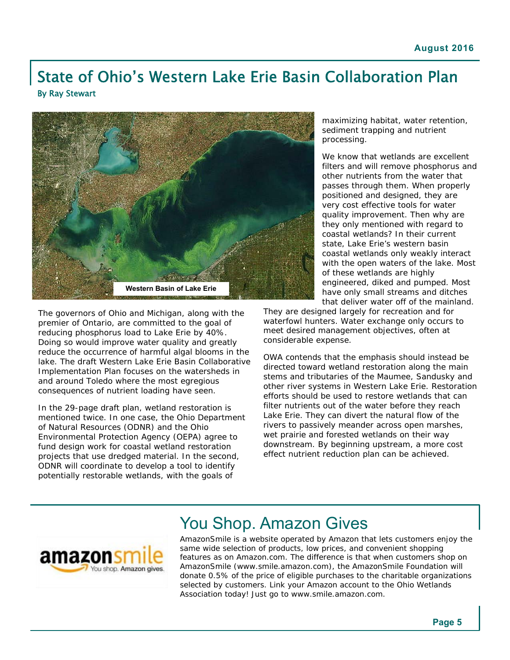### State of Ohio's Western Lake Erie Basin Collaboration Plan By Ray Stewart



The governors of Ohio and Michigan, along with the premier of Ontario, are committed to the goal of reducing phosphorus load to Lake Erie by 40%. Doing so would improve water quality and greatly reduce the occurrence of harmful algal blooms in the lake. The draft Western Lake Erie Basin Collaborative Implementation Plan focuses on the watersheds in and around Toledo where the most egregious consequences of nutrient loading have seen.

In the 29-page draft plan, wetland restoration is mentioned twice. In one case, the Ohio Department of Natural Resources (ODNR) and the Ohio Environmental Protection Agency (OEPA) agree to fund design work for coastal wetland restoration projects that use dredged material. In the second, ODNR will coordinate to develop a tool to identify potentially restorable wetlands, with the goals of

maximizing habitat, water retention, sediment trapping and nutrient processing.

We know that wetlands are excellent filters and will remove phosphorus and other nutrients from the water that passes through them. When properly positioned and designed, they are very cost effective tools for water quality improvement. Then why are they only mentioned with regard to coastal wetlands? In their current state, Lake Erie's western basin coastal wetlands only weakly interact with the open waters of the lake. Most of these wetlands are highly engineered, diked and pumped. Most have only small streams and ditches that deliver water off of the mainland.

They are designed largely for recreation and for waterfowl hunters. Water exchange only occurs to meet desired management objectives, often at considerable expense.

OWA contends that the emphasis should instead be directed toward wetland restoration along the main stems and tributaries of the Maumee, Sandusky and other river systems in Western Lake Erie. Restoration efforts should be used to restore wetlands that can filter nutrients out of the water before they reach Lake Erie. They can divert the natural flow of the rivers to passively meander across open marshes, wet prairie and forested wetlands on their way downstream. By beginning upstream, a more cost effect nutrient reduction plan can be achieved.



### You Shop. Amazon Gives

AmazonSmile is a website operated by Amazon that lets customers enjoy the same wide selection of products, low prices, and convenient shopping features as on Amazon.com. The difference is that when customers shop on AmazonSmile (www.smile.amazon.com), the AmazonSmile Foundation will donate 0.5% of the price of eligible purchases to the charitable organizations selected by customers. Link your Amazon account to the Ohio Wetlands Association today! Just go to www.smile.amazon.com.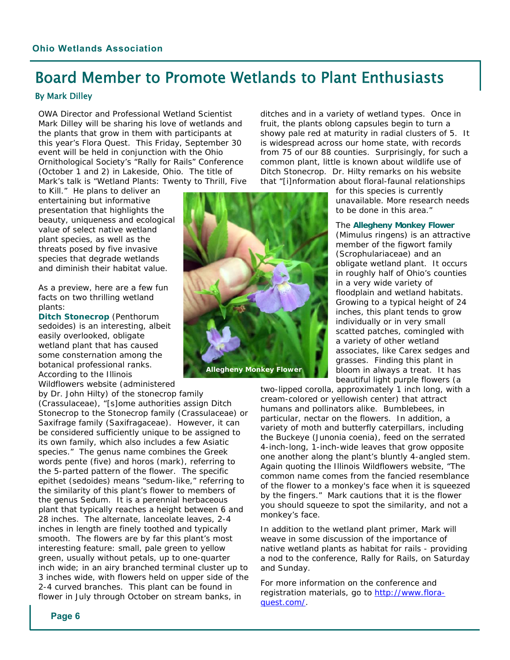### Board Member to Promote Wetlands to Plant Enthusiasts

#### By Mark Dilley

OWA Director and Professional Wetland Scientist Mark Dilley will be sharing his love of wetlands and the plants that grow in them with participants at this year's Flora Quest. This Friday, September 30 event will be held in conjunction with the Ohio Ornithological Society's "Rally for Rails" Conference (October 1 and 2) in Lakeside, Ohio. The title of Mark's talk is "Wetland Plants: Twenty to Thrill, Five

to Kill." He plans to deliver an entertaining but informative presentation that highlights the beauty, uniqueness and ecological value of select native wetland plant species, as well as the threats posed by five invasive species that degrade wetlands and diminish their habitat value.

As a preview, here are a few fun facts on two thrilling wetland plants:

**Ditch Stonecrop** (*Penthorum sedoides*) is an interesting, albeit easily overlooked, obligate wetland plant that has caused some consternation among the botanical professional ranks. According to the Illinois Wildflowers website (administered

by Dr. John Hilty) of the stonecrop family (Crassulaceae), "[s]ome authorities assign Ditch Stonecrop to the Stonecrop family (Crassulaceae) or Saxifrage family (Saxifragaceae). However, it can be considered sufficiently unique to be assigned to its own family, which also includes a few Asiatic species." The genus name combines the Greek words pente (five) and horos (mark), referring to the 5-parted pattern of the flower. The specific epithet (sedoides) means "sedum-like," referring to the similarity of this plant's flower to members of the genus Sedum. It is a perennial herbaceous plant that typically reaches a height between 6 and 28 inches. The alternate, lanceolate leaves, 2-4 inches in length are finely toothed and typically smooth. The flowers are by far this plant's most interesting feature: small, pale green to yellow green, usually without petals, up to one-quarter inch wide; in an airy branched terminal cluster up to 3 inches wide, with flowers held on upper side of the 2-4 curved branches. This plant can be found in flower in July through October on stream banks, in



ditches and in a variety of wetland types. Once in fruit, the plants oblong capsules begin to turn a showy pale red at maturity in radial clusters of 5. It is widespread across our home state, with records from 75 of our 88 counties. Surprisingly, for such a common plant, little is known about wildlife use of Ditch Stonecrop. Dr. Hilty remarks on his website that "[i]nformation about floral-faunal relationships

> for this species is currently unavailable. More research needs to be done in this area."

#### The **Allegheny Monkey Flower**

(*Mimulus ringens*) is an attractive member of the figwort family (Scrophulariaceae) and an obligate wetland plant. It occurs in roughly half of Ohio's counties in a very wide variety of floodplain and wetland habitats. Growing to a typical height of 24 inches, this plant tends to grow individually or in very small scatted patches, comingled with a variety of other wetland associates, like *Carex* sedges and grasses. Finding this plant in bloom in always a treat. It has beautiful light purple flowers (a

two-lipped corolla, approximately 1 inch long, with a cream-colored or yellowish center) that attract humans and pollinators alike. Bumblebees, in particular, nectar on the flowers. In addition, a variety of moth and butterfly caterpillars, including the Buckeye (*Junonia coenia*), feed on the serrated 4-inch-long, 1-inch-wide leaves that grow opposite one another along the plant's bluntly 4-angled stem. Again quoting the Illinois Wildflowers website, "The common name comes from the fancied resemblance of the flower to a monkey's face when it is squeezed by the fingers." *Mark cautions that it is the flower you should squeeze to spot the similarity, and not a monkey's face.* 

In addition to the wetland plant primer, Mark will weave in some discussion of the importance of native wetland plants as habitat for rails - providing a nod to the conference, Rally for Rails, on Saturday and Sunday.

For more information on the conference and registration materials, go to http://www.floraquest.com/.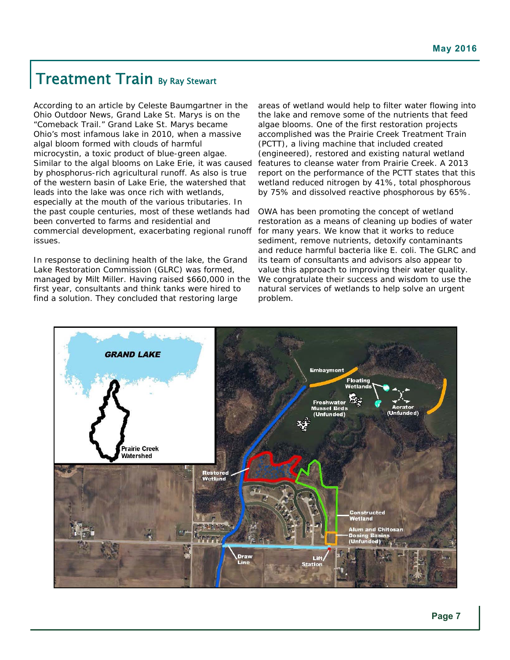### Treatment Train By Ray Stewart

According to an article by Celeste Baumgartner in the Ohio Outdoor News, Grand Lake St. Marys is on the "Comeback Trail." Grand Lake St. Marys became Ohio's most infamous lake in 2010, when a massive algal bloom formed with clouds of harmful microcystin, a toxic product of blue-green algae. Similar to the algal blooms on Lake Erie, it was caused by phosphorus-rich agricultural runoff. As also is true of the western basin of Lake Erie, the watershed that leads into the lake was once rich with wetlands, especially at the mouth of the various tributaries. In the past couple centuries, most of these wetlands had been converted to farms and residential and commercial development, exacerbating regional runoff issues.

In response to declining health of the lake, the Grand Lake Restoration Commission (GLRC) was formed, managed by Milt Miller. Having raised \$660,000 in the first year, consultants and think tanks were hired to find a solution. They concluded that restoring large

areas of wetland would help to filter water flowing into the lake and remove some of the nutrients that feed algae blooms. One of the first restoration projects accomplished was the Prairie Creek Treatment Train (PCTT), a living machine that included created (engineered), restored and existing natural wetland features to cleanse water from Prairie Creek. A 2013 report on the performance of the PCTT states that this wetland reduced nitrogen by 41%, total phosphorous by 75% and dissolved reactive phosphorous by 65%.

OWA has been promoting the concept of wetland restoration as a means of cleaning up bodies of water for many years. We know that it works to reduce sediment, remove nutrients, detoxify contaminants and reduce harmful bacteria like *E. coli*. The GLRC and its team of consultants and advisors also appear to value this approach to improving their water quality. We congratulate their success and wisdom to use the natural services of wetlands to help solve an urgent problem.